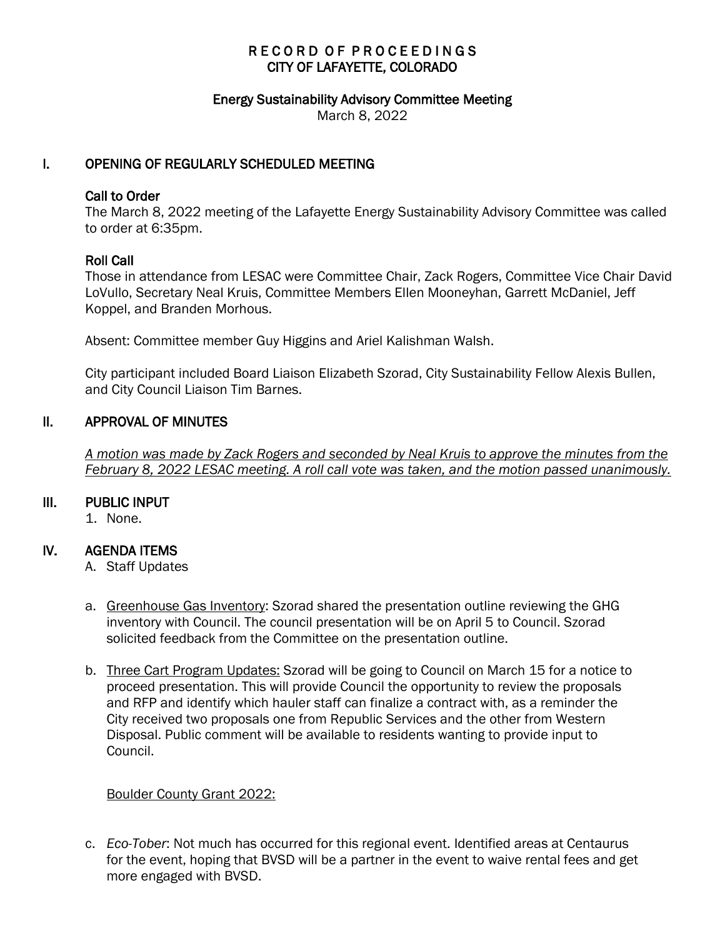# RECORD OF PROCEEDINGS CITY OF LAFAYETTE, COLORADO

#### Energy Sustainability Advisory Committee Meeting

March 8, 2022

# I. OPENING OF REGULARLY SCHEDULED MEETING

### Call to Order

The March 8, 2022 meeting of the Lafayette Energy Sustainability Advisory Committee was called to order at 6:35pm.

## Roll Call

Those in attendance from LESAC were Committee Chair, Zack Rogers, Committee Vice Chair David LoVullo, Secretary Neal Kruis, Committee Members Ellen Mooneyhan, Garrett McDaniel, Jeff Koppel, and Branden Morhous.

Absent: Committee member Guy Higgins and Ariel Kalishman Walsh.

City participant included Board Liaison Elizabeth Szorad, City Sustainability Fellow Alexis Bullen, and City Council Liaison Tim Barnes.

## II. APPROVAL OF MINUTES

 *A motion was made by Zack Rogers and seconded by Neal Kruis to approve the minutes from the February 8, 2022 LESAC meeting. A roll call vote was taken, and the motion passed unanimously.*

#### III. PUBLIC INPUT

1. None.

# IV. AGENDA ITEMS

- A. Staff Updates
- a. Greenhouse Gas Inventory: Szorad shared the presentation outline reviewing the GHG inventory with Council. The council presentation will be on April 5 to Council. Szorad solicited feedback from the Committee on the presentation outline.
- b. Three Cart Program Updates: Szorad will be going to Council on March 15 for a notice to proceed presentation. This will provide Council the opportunity to review the proposals and RFP and identify which hauler staff can finalize a contract with, as a reminder the City received two proposals one from Republic Services and the other from Western Disposal. Public comment will be available to residents wanting to provide input to Council.

#### Boulder County Grant 2022:

c. *Eco-Tober*: Not much has occurred for this regional event. Identified areas at Centaurus for the event, hoping that BVSD will be a partner in the event to waive rental fees and get more engaged with BVSD.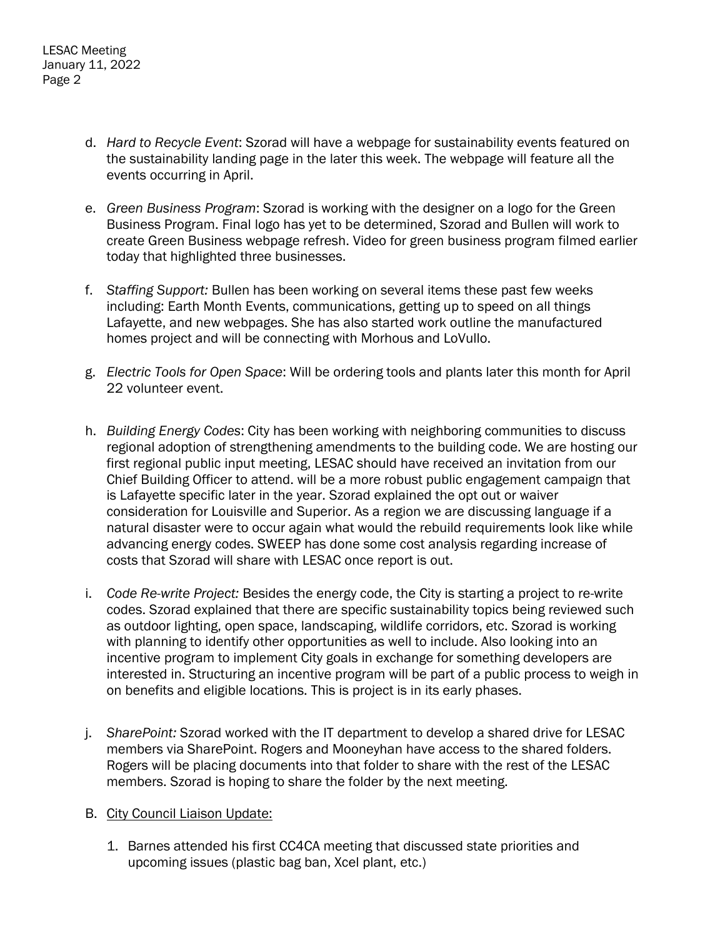- d. *Hard to Recycle Event*: Szorad will have a webpage for sustainability events featured on the sustainability landing page in the later this week. The webpage will feature all the events occurring in April.
- e. *Green Business Program*: Szorad is working with the designer on a logo for the Green Business Program. Final logo has yet to be determined, Szorad and Bullen will work to create Green Business webpage refresh. Video for green business program filmed earlier today that highlighted three businesses.
- f. *Staffing Support:* Bullen has been working on several items these past few weeks including: Earth Month Events, communications, getting up to speed on all things Lafayette, and new webpages. She has also started work outline the manufactured homes project and will be connecting with Morhous and LoVullo.
- g. *Electric Tools for Open Space*: Will be ordering tools and plants later this month for April 22 volunteer event.
- h. *Building Energy Codes*: City has been working with neighboring communities to discuss regional adoption of strengthening amendments to the building code. We are hosting our first regional public input meeting, LESAC should have received an invitation from our Chief Building Officer to attend. will be a more robust public engagement campaign that is Lafayette specific later in the year. Szorad explained the opt out or waiver consideration for Louisville and Superior. As a region we are discussing language if a natural disaster were to occur again what would the rebuild requirements look like while advancing energy codes. SWEEP has done some cost analysis regarding increase of costs that Szorad will share with LESAC once report is out.
- i. *Code Re-write Project:* Besides the energy code, the City is starting a project to re-write codes. Szorad explained that there are specific sustainability topics being reviewed such as outdoor lighting, open space, landscaping, wildlife corridors, etc. Szorad is working with planning to identify other opportunities as well to include. Also looking into an incentive program to implement City goals in exchange for something developers are interested in. Structuring an incentive program will be part of a public process to weigh in on benefits and eligible locations. This is project is in its early phases.
- j. *SharePoint:* Szorad worked with the IT department to develop a shared drive for LESAC members via SharePoint. Rogers and Mooneyhan have access to the shared folders. Rogers will be placing documents into that folder to share with the rest of the LESAC members. Szorad is hoping to share the folder by the next meeting.
- B. City Council Liaison Update:
	- 1. Barnes attended his first CC4CA meeting that discussed state priorities and upcoming issues (plastic bag ban, Xcel plant, etc.)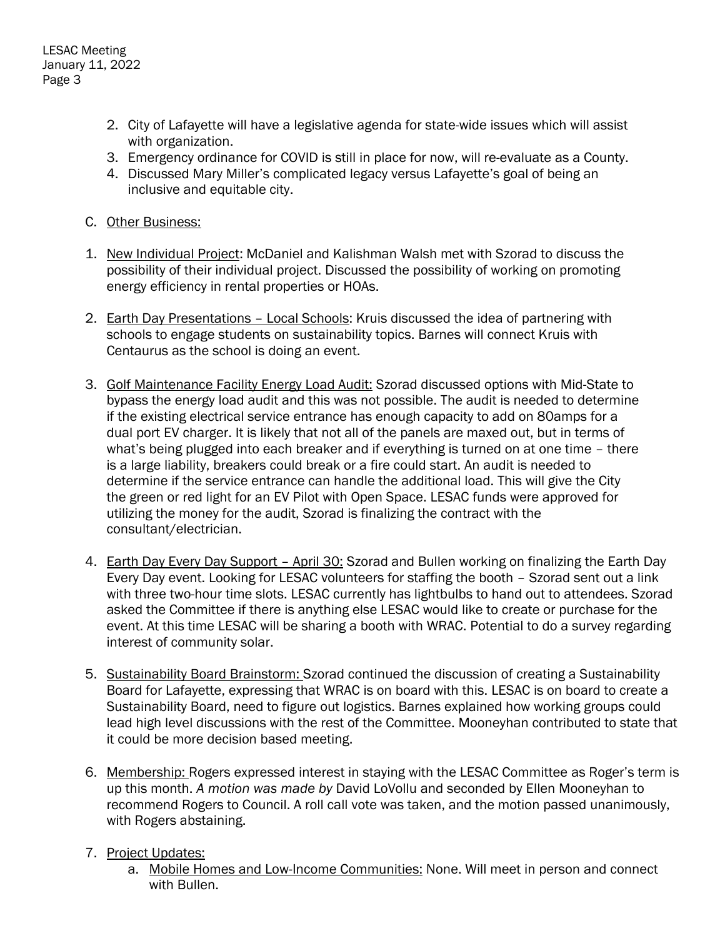- 2. City of Lafayette will have a legislative agenda for state-wide issues which will assist with organization.
- 3. Emergency ordinance for COVID is still in place for now, will re-evaluate as a County.
- 4. Discussed Mary Miller's complicated legacy versus Lafayette's goal of being an inclusive and equitable city.
- C. Other Business:
- 1. New Individual Project: McDaniel and Kalishman Walsh met with Szorad to discuss the possibility of their individual project. Discussed the possibility of working on promoting energy efficiency in rental properties or HOAs.
- 2. Earth Day Presentations Local Schools: Kruis discussed the idea of partnering with schools to engage students on sustainability topics. Barnes will connect Kruis with Centaurus as the school is doing an event.
- 3. Golf Maintenance Facility Energy Load Audit: Szorad discussed options with Mid-State to bypass the energy load audit and this was not possible. The audit is needed to determine if the existing electrical service entrance has enough capacity to add on 80amps for a dual port EV charger. It is likely that not all of the panels are maxed out, but in terms of what's being plugged into each breaker and if everything is turned on at one time – there is a large liability, breakers could break or a fire could start. An audit is needed to determine if the service entrance can handle the additional load. This will give the City the green or red light for an EV Pilot with Open Space. LESAC funds were approved for utilizing the money for the audit, Szorad is finalizing the contract with the consultant/electrician.
- 4. Earth Day Every Day Support April 30: Szorad and Bullen working on finalizing the Earth Day Every Day event. Looking for LESAC volunteers for staffing the booth – Szorad sent out a link with three two-hour time slots. LESAC currently has lightbulbs to hand out to attendees. Szorad asked the Committee if there is anything else LESAC would like to create or purchase for the event. At this time LESAC will be sharing a booth with WRAC. Potential to do a survey regarding interest of community solar.
- 5. Sustainability Board Brainstorm: Szorad continued the discussion of creating a Sustainability Board for Lafayette, expressing that WRAC is on board with this. LESAC is on board to create a Sustainability Board, need to figure out logistics. Barnes explained how working groups could lead high level discussions with the rest of the Committee. Mooneyhan contributed to state that it could be more decision based meeting.
- 6. Membership: Rogers expressed interest in staying with the LESAC Committee as Roger's term is up this month. *A motion was made by* David LoVollu and seconded by Ellen Mooneyhan to recommend Rogers to Council. A roll call vote was taken, and the motion passed unanimously, with Rogers abstaining.
- 7. Project Updates:
	- a. Mobile Homes and Low-Income Communities: None. Will meet in person and connect with Bullen.